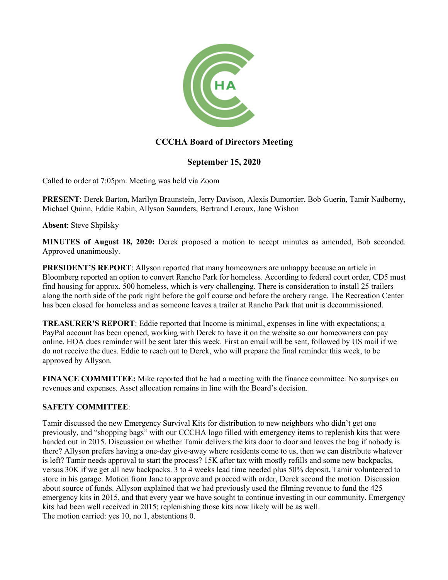

# **CCCHA Board of Directors Meeting**

## **September 15, 2020**

Called to order at 7:05pm. Meeting was held via Zoom

**PRESENT**: Derek Barton**,** Marilyn Braunstein, Jerry Davison, Alexis Dumortier, Bob Guerin, Tamir Nadborny, Michael Quinn, Eddie Rabin, Allyson Saunders, Bertrand Leroux, Jane Wishon

**Absent**: Steve Shpilsky

**MINUTES of August 18, 2020:** Derek proposed a motion to accept minutes as amended, Bob seconded. Approved unanimously.

**PRESIDENT'S REPORT:** Allyson reported that many homeowners are unhappy because an article in Bloomberg reported an option to convert Rancho Park for homeless. According to federal court order, CD5 must find housing for approx. 500 homeless, which is very challenging. There is consideration to install 25 trailers along the north side of the park right before the golf course and before the archery range. The Recreation Center has been closed for homeless and as someone leaves a trailer at Rancho Park that unit is decommissioned.

**TREASURER'S REPORT**: Eddie reported that Income is minimal, expenses in line with expectations; a PayPal account has been opened, working with Derek to have it on the website so our homeowners can pay online. HOA dues reminder will be sent later this week. First an email will be sent, followed by US mail if we do not receive the dues. Eddie to reach out to Derek, who will prepare the final reminder this week, to be approved by Allyson.

**FINANCE COMMITTEE:** Mike reported that he had a meeting with the finance committee. No surprises on revenues and expenses. Asset allocation remains in line with the Board's decision.

### **SAFETY COMMITTEE**:

Tamir discussed the new Emergency Survival Kits for distribution to new neighbors who didn't get one previously, and "shopping bags" with our CCCHA logo filled with emergency items to replenish kits that were handed out in 2015. Discussion on whether Tamir delivers the kits door to door and leaves the bag if nobody is there? Allyson prefers having a one-day give-away where residents come to us, then we can distribute whatever is left? Tamir needs approval to start the process? 15K after tax with mostly refills and some new backpacks, versus 30K if we get all new backpacks. 3 to 4 weeks lead time needed plus 50% deposit. Tamir volunteered to store in his garage. Motion from Jane to approve and proceed with order, Derek second the motion. Discussion about source of funds. Allyson explained that we had previously used the filming revenue to fund the 425 emergency kits in 2015, and that every year we have sought to continue investing in our community. Emergency kits had been well received in 2015; replenishing those kits now likely will be as well. The motion carried: yes 10, no 1, abstentions 0.